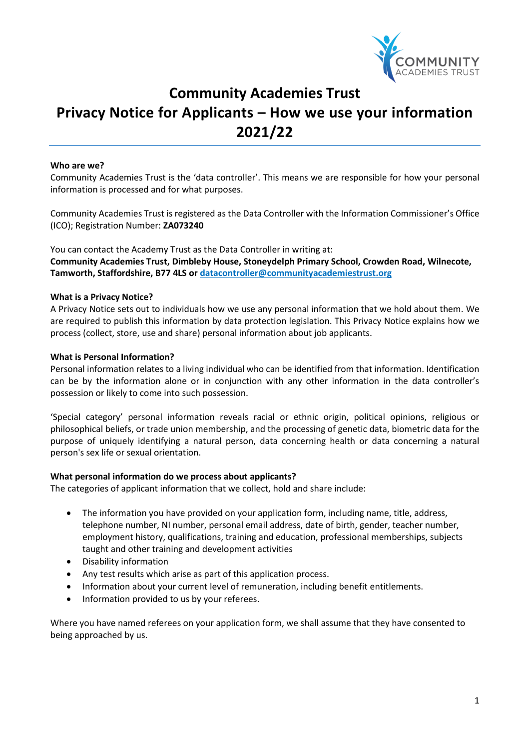

# **Community Academies Trust Privacy Notice for Applicants – How we use your information 2021/22**

# **Who are we?**

Community Academies Trust is the 'data controller'. This means we are responsible for how your personal information is processed and for what purposes.

Community Academies Trust is registered as the Data Controller with the Information Commissioner's Office (ICO); Registration Number: **ZA073240**

You can contact the Academy Trust as the Data Controller in writing at: **Community Academies Trust, Dimbleby House, Stoneydelph Primary School, Crowden Road, Wilnecote, Tamworth, Staffordshire, B77 4LS or datacontroller[@communityacademiestrust.org](mailto:enquiries@communityacademiestrust.org)**

# **What is a Privacy Notice?**

A Privacy Notice sets out to individuals how we use any personal information that we hold about them. We are required to publish this information by data protection legislation. This Privacy Notice explains how we process (collect, store, use and share) personal information about job applicants.

# **What is Personal Information?**

Personal information relates to a living individual who can be identified from that information. Identification can be by the information alone or in conjunction with any other information in the data controller's possession or likely to come into such possession.

'Special category' personal information reveals racial or ethnic origin, political opinions, religious or philosophical beliefs, or trade union membership, and the processing of genetic data, biometric data for the purpose of uniquely identifying a natural person, data concerning health or data concerning a natural person's sex life or sexual orientation.

# **What personal information do we process about applicants?**

The categories of applicant information that we collect, hold and share include:

- The information you have provided on your application form, including name, title, address, telephone number, NI number, personal email address, date of birth, gender, teacher number, employment history, qualifications, training and education, professional memberships, subjects taught and other training and development activities
- Disability information
- Any test results which arise as part of this application process.
- Information about your current level of remuneration, including benefit entitlements.
- Information provided to us by your referees.

Where you have named referees on your application form, we shall assume that they have consented to being approached by us.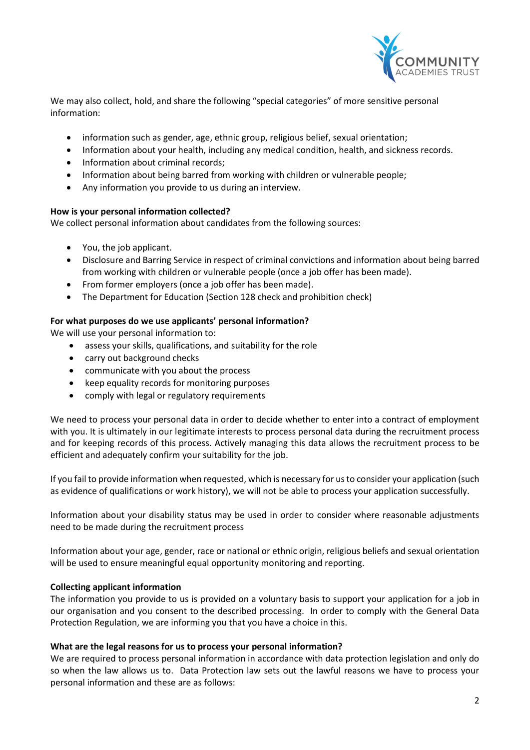

We may also collect, hold, and share the following "special categories" of more sensitive personal information:

- information such as gender, age, ethnic group, religious belief, sexual orientation;
- Information about your health, including any medical condition, health, and sickness records.
- Information about criminal records:
- Information about being barred from working with children or vulnerable people;
- Any information you provide to us during an interview.

# **How is your personal information collected?**

We collect personal information about candidates from the following sources:

- You, the job applicant.
- Disclosure and Barring Service in respect of criminal convictions and information about being barred from working with children or vulnerable people (once a job offer has been made).
- From former employers (once a job offer has been made).
- The Department for Education (Section 128 check and prohibition check)

# **For what purposes do we use applicants' personal information?**

We will use your personal information to:

- assess your skills, qualifications, and suitability for the role
- carry out background checks
- communicate with you about the process
- keep equality records for monitoring purposes
- comply with legal or regulatory requirements

We need to process your personal data in order to decide whether to enter into a contract of employment with you. It is ultimately in our legitimate interests to process personal data during the recruitment process and for keeping records of this process. Actively managing this data allows the recruitment process to be efficient and adequately confirm your suitability for the job.

If you fail to provide information when requested, which is necessary for us to consider your application (such as evidence of qualifications or work history), we will not be able to process your application successfully.

Information about your disability status may be used in order to consider where reasonable adjustments need to be made during the recruitment process

Information about your age, gender, race or national or ethnic origin, religious beliefs and sexual orientation will be used to ensure meaningful equal opportunity monitoring and reporting.

# **Collecting applicant information**

The information you provide to us is provided on a voluntary basis to support your application for a job in our organisation and you consent to the described processing. In order to comply with the General Data Protection Regulation, we are informing you that you have a choice in this.

# **What are the legal reasons for us to process your personal information?**

We are required to process personal information in accordance with data protection legislation and only do so when the law allows us to. Data Protection law sets out the lawful reasons we have to process your personal information and these are as follows: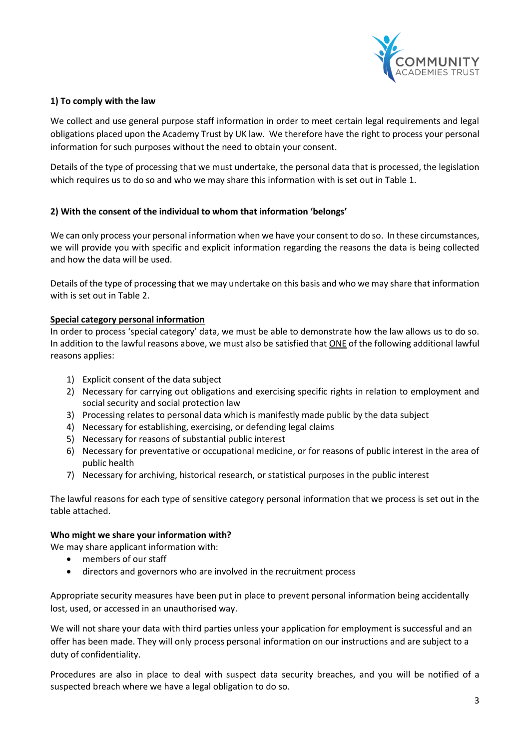

# **1) To comply with the law**

We collect and use general purpose staff information in order to meet certain legal requirements and legal obligations placed upon the Academy Trust by UK law. We therefore have the right to process your personal information for such purposes without the need to obtain your consent.

Details of the type of processing that we must undertake, the personal data that is processed, the legislation which requires us to do so and who we may share this information with is set out in Table 1.

# **2) With the consent of the individual to whom that information 'belongs'**

We can only process your personal information when we have your consent to do so. In these circumstances, we will provide you with specific and explicit information regarding the reasons the data is being collected and how the data will be used.

Details of the type of processing that we may undertake on this basis and who we may share that information with is set out in Table 2.

# **Special category personal information**

In order to process 'special category' data, we must be able to demonstrate how the law allows us to do so. In addition to the lawful reasons above, we must also be satisfied that ONE of the following additional lawful reasons applies:

- 1) Explicit consent of the data subject
- 2) Necessary for carrying out obligations and exercising specific rights in relation to employment and social security and social protection law
- 3) Processing relates to personal data which is manifestly made public by the data subject
- 4) Necessary for establishing, exercising, or defending legal claims
- 5) Necessary for reasons of substantial public interest
- 6) Necessary for preventative or occupational medicine, or for reasons of public interest in the area of public health
- 7) Necessary for archiving, historical research, or statistical purposes in the public interest

The lawful reasons for each type of sensitive category personal information that we process is set out in the table attached.

# **Who might we share your information with?**

We may share applicant information with:

- members of our staff
- directors and governors who are involved in the recruitment process

Appropriate security measures have been put in place to prevent personal information being accidentally lost, used, or accessed in an unauthorised way.

We will not share your data with third parties unless your application for employment is successful and an offer has been made. They will only process personal information on our instructions and are subject to a duty of confidentiality.

Procedures are also in place to deal with suspect data security breaches, and you will be notified of a suspected breach where we have a legal obligation to do so.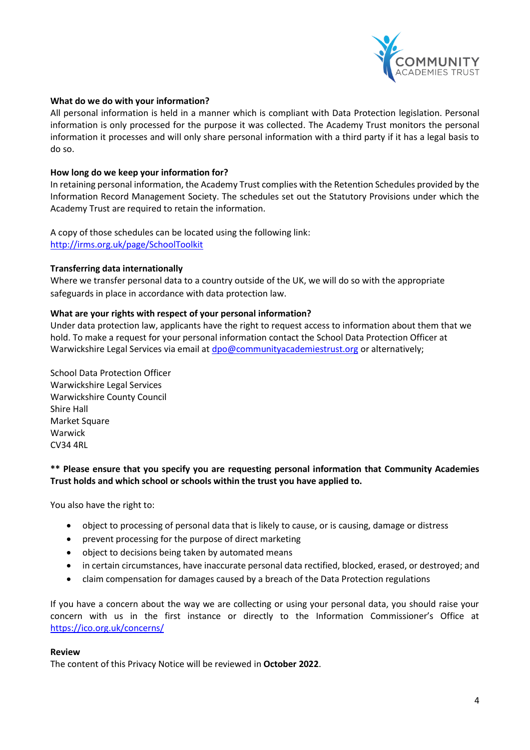

# **What do we do with your information?**

All personal information is held in a manner which is compliant with Data Protection legislation. Personal information is only processed for the purpose it was collected. The Academy Trust monitors the personal information it processes and will only share personal information with a third party if it has a legal basis to do so.

# **How long do we keep your information for?**

In retaining personal information, the Academy Trust complies with the Retention Schedules provided by the Information Record Management Society. The schedules set out the Statutory Provisions under which the Academy Trust are required to retain the information.

A copy of those schedules can be located using the following link: <http://irms.org.uk/page/SchoolToolkit>

#### **Transferring data internationally**

Where we transfer personal data to a country outside of the UK, we will do so with the appropriate safeguards in place in accordance with data protection law.

#### **What are your rights with respect of your personal information?**

Under data protection law, applicants have the right to request access to information about them that we hold. To make a request for your personal information contact the School Data Protection Officer at Warwickshire Legal Services via email at [dpo@communityacademiestrust.org](mailto:dpo@communityacademiestrust.org) or alternatively;

School Data Protection Officer Warwickshire Legal Services Warwickshire County Council Shire Hall Market Square Warwick CV34 4RL

# **\*\* Please ensure that you specify you are requesting personal information that Community Academies Trust holds and which school or schools within the trust you have applied to.**

You also have the right to:

- object to processing of personal data that is likely to cause, or is causing, damage or distress
- prevent processing for the purpose of direct marketing
- object to decisions being taken by automated means
- in certain circumstances, have inaccurate personal data rectified, blocked, erased, or destroyed; and
- claim compensation for damages caused by a breach of the Data Protection regulations

If you have a concern about the way we are collecting or using your personal data, you should raise your concern with us in the first instance or directly to the Information Commissioner's Office at <https://ico.org.uk/concerns/>

#### **Review**

The content of this Privacy Notice will be reviewed in **October 2022**.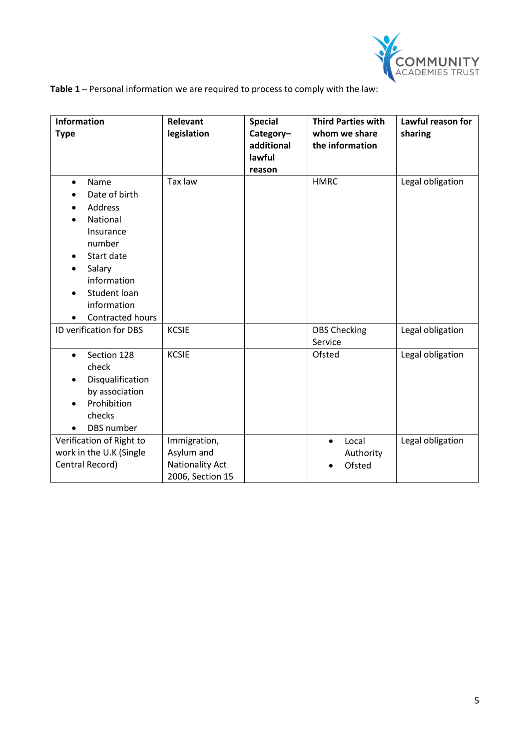

**Table 1** – Personal information we are required to process to comply with the law:

| <b>Information</b><br><b>Type</b>                                                                                                                                          | Relevant<br>legislation                                                  | <b>Special</b><br>Category-<br>additional<br>lawful<br>reason | <b>Third Parties with</b><br>whom we share<br>the information | Lawful reason for<br>sharing |
|----------------------------------------------------------------------------------------------------------------------------------------------------------------------------|--------------------------------------------------------------------------|---------------------------------------------------------------|---------------------------------------------------------------|------------------------------|
| Name<br>$\bullet$<br>Date of birth<br>Address<br>National<br>Insurance<br>number<br>Start date<br>Salary<br>information<br>Student loan<br>information<br>Contracted hours | Tax law                                                                  |                                                               | <b>HMRC</b>                                                   | Legal obligation             |
| ID verification for DBS                                                                                                                                                    | <b>KCSIE</b>                                                             |                                                               | <b>DBS Checking</b><br>Service                                | Legal obligation             |
| Section 128<br>$\bullet$<br>check<br>Disqualification<br>by association<br>Prohibition<br>checks<br>DBS number                                                             | <b>KCSIE</b>                                                             |                                                               | Ofsted                                                        | Legal obligation             |
| Verification of Right to<br>work in the U.K (Single<br>Central Record)                                                                                                     | Immigration,<br>Asylum and<br><b>Nationality Act</b><br>2006, Section 15 |                                                               | Local<br>$\bullet$<br>Authority<br>Ofsted                     | Legal obligation             |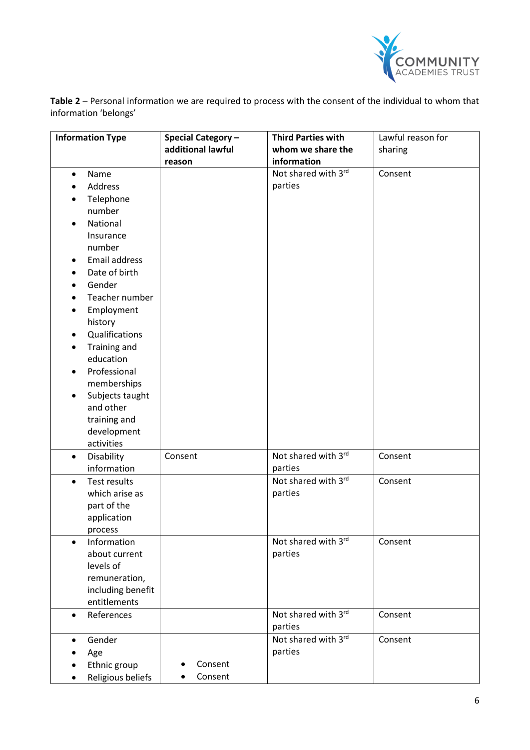

**Table 2** – Personal information we are required to process with the consent of the individual to whom that information 'belongs'

| <b>Information Type</b>          | <b>Special Category -</b> | <b>Third Parties with</b> | Lawful reason for |
|----------------------------------|---------------------------|---------------------------|-------------------|
|                                  | additional lawful         | whom we share the         | sharing           |
|                                  | reason                    | information               |                   |
| Name<br>$\bullet$                |                           | Not shared with 3rd       | Consent           |
| Address                          |                           | parties                   |                   |
| Telephone                        |                           |                           |                   |
| number                           |                           |                           |                   |
| National<br>$\bullet$            |                           |                           |                   |
| Insurance                        |                           |                           |                   |
| number                           |                           |                           |                   |
| Email address                    |                           |                           |                   |
| Date of birth                    |                           |                           |                   |
| Gender                           |                           |                           |                   |
| Teacher number                   |                           |                           |                   |
| Employment                       |                           |                           |                   |
| history                          |                           |                           |                   |
| Qualifications<br>$\bullet$      |                           |                           |                   |
| Training and                     |                           |                           |                   |
| education                        |                           |                           |                   |
| Professional                     |                           |                           |                   |
| memberships                      |                           |                           |                   |
| Subjects taught<br>$\bullet$     |                           |                           |                   |
| and other                        |                           |                           |                   |
| training and                     |                           |                           |                   |
| development<br>activities        |                           |                           |                   |
| Disability<br>$\bullet$          | Consent                   | Not shared with 3rd       | Consent           |
| information                      |                           | parties                   |                   |
| <b>Test results</b><br>$\bullet$ |                           | Not shared with 3rd       | Consent           |
| which arise as                   |                           | parties                   |                   |
| part of the                      |                           |                           |                   |
| application                      |                           |                           |                   |
| process                          |                           |                           |                   |
| Information<br>$\bullet$         |                           | Not shared with 3rd       | Consent           |
| about current                    |                           | parties                   |                   |
| levels of                        |                           |                           |                   |
| remuneration,                    |                           |                           |                   |
| including benefit                |                           |                           |                   |
| entitlements                     |                           |                           |                   |
| References<br>$\bullet$          |                           | Not shared with 3rd       | Consent           |
|                                  |                           | parties                   |                   |
| Gender<br>$\bullet$              |                           | Not shared with 3rd       | Consent           |
| Age                              |                           | parties                   |                   |
| Ethnic group                     | Consent                   |                           |                   |
| Religious beliefs                | Consent                   |                           |                   |